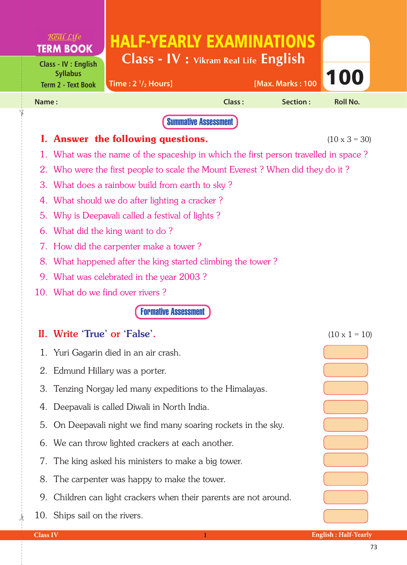|                | $\mathcal{R}^{\text{max}}$ $\mathcal{L}$ if $e$<br><b>TERM BOOK</b>              | <b>HALF-YEARLY EXAMINATIONS</b>                                |                             |                         |                      |  |  |
|----------------|----------------------------------------------------------------------------------|----------------------------------------------------------------|-----------------------------|-------------------------|----------------------|--|--|
|                | <b>Class - IV : English</b><br><b>Syllabus</b>                                   | Class - IV : Vikram Real Life English                          |                             |                         |                      |  |  |
|                | <b>Term 2 - Text Book</b>                                                        | Time: $2\frac{1}{2}$ Hours]                                    |                             | <b>IMax. Marks: 100</b> | 100                  |  |  |
| Name:          |                                                                                  |                                                                | Class:                      | <b>Section:</b>         | <b>Roll No.</b>      |  |  |
|                |                                                                                  |                                                                | <b>Summative Assessment</b> |                         |                      |  |  |
|                |                                                                                  | I. Answer the following questions.                             |                             |                         | $(10 \times 3 = 30)$ |  |  |
| 1.             | What was the name of the spaceship in which the first person travelled in space? |                                                                |                             |                         |                      |  |  |
|                | 2. Who were the first people to scale the Mount Everest? When did they do it?    |                                                                |                             |                         |                      |  |  |
| 3.             | What does a rainbow build from earth to sky?                                     |                                                                |                             |                         |                      |  |  |
|                | 4. What should we do after lighting a cracker?                                   |                                                                |                             |                         |                      |  |  |
| 5 <sub>1</sub> | Why is Deepavali called a festival of lights?                                    |                                                                |                             |                         |                      |  |  |
| 6.             | What did the king want to do?                                                    |                                                                |                             |                         |                      |  |  |
|                | 7. How did the carpenter make a tower?                                           |                                                                |                             |                         |                      |  |  |
| 8.             | What happened after the king started climbing the tower?                         |                                                                |                             |                         |                      |  |  |
|                |                                                                                  | 9. What was celebrated in the year 2003?                       |                             |                         |                      |  |  |
|                |                                                                                  | 10. What do we find over rivers?                               |                             |                         |                      |  |  |
|                |                                                                                  | <b>Formative Assessment</b>                                    |                             |                         |                      |  |  |
|                | II. Write 'True' or 'False'.                                                     |                                                                |                             |                         | $(10 \times 1 = 10)$ |  |  |
| 1.             |                                                                                  | Yuri Gagarin died in an air crash.                             |                             |                         |                      |  |  |
|                |                                                                                  | 2. Edmund Hillary was a porter.                                |                             |                         |                      |  |  |
|                |                                                                                  | 3. Tenzing Norgay led many expeditions to the Himalayas.       |                             |                         |                      |  |  |
|                |                                                                                  | 4. Deepavali is called Diwali in North India.                  |                             |                         |                      |  |  |
|                |                                                                                  | 5. On Deepavali night we find many soaring rockets in the sky. |                             |                         |                      |  |  |
|                |                                                                                  | 6. We can throw lighted crackers at each another.              |                             |                         |                      |  |  |
| 7.             |                                                                                  | The king asked his ministers to make a big tower.              |                             |                         |                      |  |  |
| 8.             |                                                                                  | The carpenter was happy to make the tower.                     |                             |                         |                      |  |  |
| 9.             |                                                                                  | Children can light crackers when their parents are not around. |                             |                         |                      |  |  |
|                | 10. Ships sail on the rivers.                                                    |                                                                |                             |                         |                      |  |  |

 $\frac{1}{2}$ 

✁

÷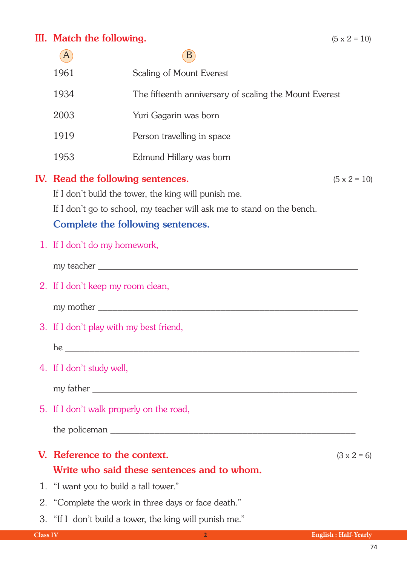## III. Match the following.  $(5 \times 2 = 10)$

|                 |                                          | B                                                                                                                                                                                                                                    |                             |
|-----------------|------------------------------------------|--------------------------------------------------------------------------------------------------------------------------------------------------------------------------------------------------------------------------------------|-----------------------------|
|                 | 1961                                     | Scaling of Mount Everest                                                                                                                                                                                                             |                             |
|                 | 1934                                     | The fifteenth anniversary of scaling the Mount Everest                                                                                                                                                                               |                             |
|                 | 2003                                     | Yuri Gagarin was born                                                                                                                                                                                                                |                             |
|                 | 1919                                     | Person travelling in space                                                                                                                                                                                                           |                             |
|                 | 1953                                     | Edmund Hillary was born                                                                                                                                                                                                              |                             |
|                 | IV. Read the following sentences.        | If I don't build the tower, the king will punish me.<br>If I don't go to school, my teacher will ask me to stand on the bench.<br>Complete the following sentences.                                                                  | $(5 \times 2 = 10)$         |
|                 | 1. If I don't do my homework,            |                                                                                                                                                                                                                                      |                             |
|                 |                                          |                                                                                                                                                                                                                                      |                             |
|                 | 2. If I don't keep my room clean,        |                                                                                                                                                                                                                                      |                             |
|                 |                                          |                                                                                                                                                                                                                                      |                             |
|                 | 3. If I don't play with my best friend,  |                                                                                                                                                                                                                                      |                             |
|                 |                                          | he <u>the contract of the contract of the contract of the contract of the contract of the contract of the contract of the contract of the contract of the contract of the contract of the contract of the contract of the contra</u> |                             |
|                 | 4. If I don't study well,                |                                                                                                                                                                                                                                      |                             |
|                 |                                          |                                                                                                                                                                                                                                      |                             |
|                 | 5. If I don't walk properly on the road, |                                                                                                                                                                                                                                      |                             |
|                 |                                          |                                                                                                                                                                                                                                      |                             |
|                 | V. Reference to the context.             |                                                                                                                                                                                                                                      | $(3 \times 2 = 6)$          |
|                 |                                          | Write who said these sentences and to whom.                                                                                                                                                                                          |                             |
|                 | 1. "I want you to build a tall tower."   |                                                                                                                                                                                                                                      |                             |
| 2.              |                                          | "Complete the work in three days or face death."                                                                                                                                                                                     |                             |
|                 |                                          | 3. "If I don't build a tower, the king will punish me."                                                                                                                                                                              |                             |
| <b>Class IV</b> |                                          | $\overline{2}$                                                                                                                                                                                                                       | <b>English: Half-Yearly</b> |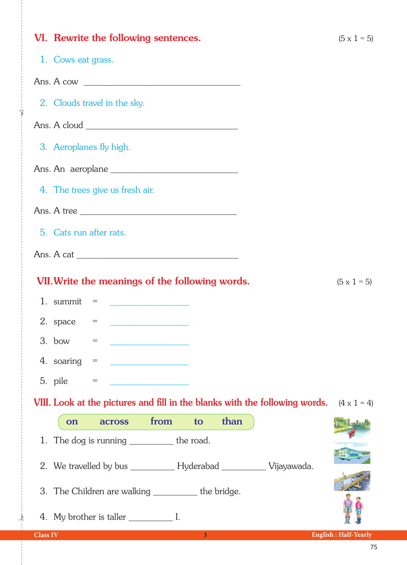| VI. Rewrite the following sentences.                                                           | $(5 \times 1 = 5)$          |
|------------------------------------------------------------------------------------------------|-----------------------------|
| 1. Cows eat grass.                                                                             |                             |
|                                                                                                |                             |
| 2. Clouds travel in the sky.                                                                   |                             |
|                                                                                                |                             |
| 3. Aeroplanes fly high.                                                                        |                             |
|                                                                                                |                             |
| 4. The trees give us fresh air.                                                                |                             |
| Ans. A tree                                                                                    |                             |
| 5. Cats run after rats.                                                                        |                             |
|                                                                                                |                             |
| VII. Write the meanings of the following words.                                                | $(5 \times 1 = 5)$          |
| 1. summit $=$<br><u> 1986 - Johann Barn, mars ann an t-A</u>                                   |                             |
| 2. space $=$<br><u> 1990 - Johann Barn, mars and de Brasilia (b. 19</u>                        |                             |
| 3. bow $=$                                                                                     |                             |
| 4. soaring<br>$\hspace*{0.4em} = \hspace*{0.4em}$<br><u> 1990 - Andrea Andrew Maria (h. 19</u> |                             |
| 5. pile<br>$=$                                                                                 |                             |
| VIII. Look at the pictures and fill in the blanks with the following words. $(4 \times 1 = 4)$ |                             |
| than<br>from<br>to<br><b>across</b><br>on                                                      |                             |
| 1. The dog is running ___________ the road.                                                    |                             |
| 2. We travelled by bus _____________ Hyderabad ____________ Vijayawada.                        |                             |
| 3. The Children are walking __________ the bridge.                                             |                             |
|                                                                                                |                             |
| 3 <sup>2</sup><br><b>Class IV</b><br><u> 1999 - Johann Barn, mars ann an t-</u>                | <b>English: Half-Yearly</b> |

 $\frac{1}{2}$ 

✁